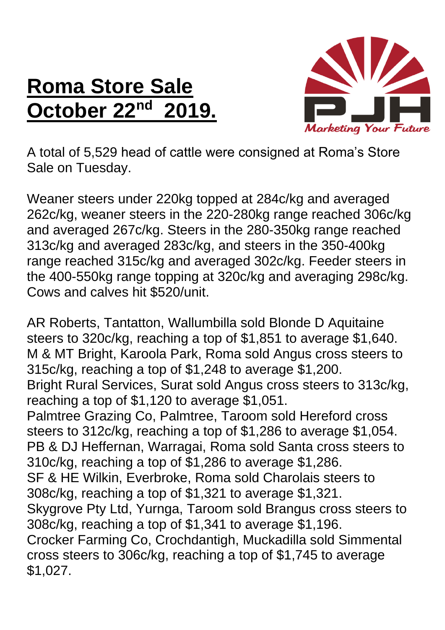## **Roma Store Sale October 22nd 2019.**



A total of 5,529 head of cattle were consigned at Roma's Store Sale on Tuesday.

Weaner steers under 220kg topped at 284c/kg and averaged 262c/kg, weaner steers in the 220-280kg range reached 306c/kg and averaged 267c/kg. Steers in the 280-350kg range reached 313c/kg and averaged 283c/kg, and steers in the 350-400kg range reached 315c/kg and averaged 302c/kg. Feeder steers in the 400-550kg range topping at 320c/kg and averaging 298c/kg. Cows and calves hit \$520/unit.

AR Roberts, Tantatton, Wallumbilla sold Blonde D Aquitaine steers to 320c/kg, reaching a top of \$1,851 to average \$1,640. M & MT Bright, Karoola Park, Roma sold Angus cross steers to 315c/kg, reaching a top of \$1,248 to average \$1,200. Bright Rural Services, Surat sold Angus cross steers to 313c/kg, reaching a top of \$1,120 to average \$1,051. Palmtree Grazing Co, Palmtree, Taroom sold Hereford cross steers to 312c/kg, reaching a top of \$1,286 to average \$1,054. PB & DJ Heffernan, Warragai, Roma sold Santa cross steers to 310c/kg, reaching a top of \$1,286 to average \$1,286. SF & HE Wilkin, Everbroke, Roma sold Charolais steers to 308c/kg, reaching a top of \$1,321 to average \$1,321. Skygrove Pty Ltd, Yurnga, Taroom sold Brangus cross steers to 308c/kg, reaching a top of \$1,341 to average \$1,196. Crocker Farming Co, Crochdantigh, Muckadilla sold Simmental cross steers to 306c/kg, reaching a top of \$1,745 to average \$1,027.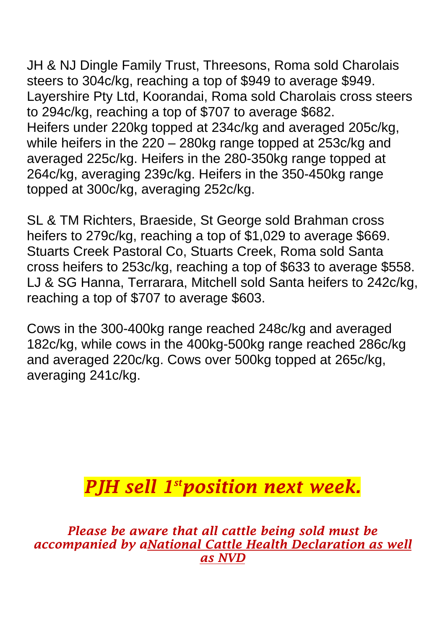JH & NJ Dingle Family Trust, Threesons, Roma sold Charolais steers to 304c/kg, reaching a top of \$949 to average \$949. Layershire Pty Ltd, Koorandai, Roma sold Charolais cross steers to 294c/kg, reaching a top of \$707 to average \$682. Heifers under 220kg topped at 234c/kg and averaged 205c/kg, while heifers in the 220 – 280kg range topped at 253c/kg and averaged 225c/kg. Heifers in the 280-350kg range topped at 264c/kg, averaging 239c/kg. Heifers in the 350-450kg range topped at 300c/kg, averaging 252c/kg.

SL & TM Richters, Braeside, St George sold Brahman cross heifers to 279c/kg, reaching a top of \$1,029 to average \$669. Stuarts Creek Pastoral Co, Stuarts Creek, Roma sold Santa cross heifers to 253c/kg, reaching a top of \$633 to average \$558. LJ & SG Hanna, Terrarara, Mitchell sold Santa heifers to 242c/kg, reaching a top of \$707 to average \$603.

Cows in the 300-400kg range reached 248c/kg and averaged 182c/kg, while cows in the 400kg-500kg range reached 286c/kg and averaged 220c/kg. Cows over 500kg topped at 265c/kg, averaging 241c/kg.

## *PJH sell 1 stposition next week.*

*Please be aware that all cattle being sold must be accompanied by aNational Cattle Health Declaration as well as NVD*